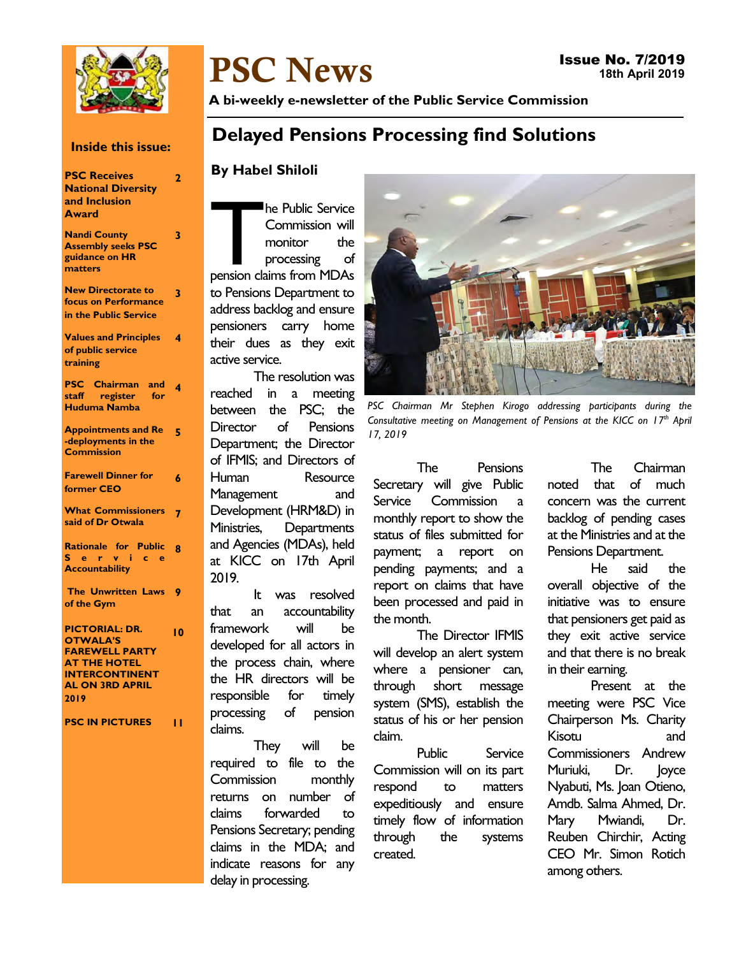

# PSC News

A bi-weekly e-newsletter of the Public Service Commission

#### Inside this issue:

| <b>PSC Receives</b><br><b>National Diversity</b><br>and Inclusion<br><b>Award</b>                                                                   | 2  |
|-----------------------------------------------------------------------------------------------------------------------------------------------------|----|
| <b>Nandi County</b><br><b>Assembly seeks PSC</b><br>guidance on HR<br>matters                                                                       | 3  |
| <b>New Directorate to</b><br>focus on Performance<br>in the Public Service                                                                          | 3  |
| <b>Values and Principles</b><br>of public service<br>training                                                                                       | 4  |
| <b>PSC</b> Chairman<br>and<br>staff register<br>for<br><b>Huduma Namba</b>                                                                          | 4  |
| <b>Appointments and Re</b><br>-deployments in the<br><b>Commission</b>                                                                              | 5  |
| <b>Farewell Dinner for</b><br>former CEO                                                                                                            | 6  |
| <b>What Commissioners</b><br>said of Dr Otwala                                                                                                      | 7  |
| <b>Rationale for Public</b><br>Servi<br>$c$ e<br><b>Accountability</b>                                                                              | 8  |
| The Unwritten Laws<br>of the Gym                                                                                                                    | 9  |
| <b>PICTORIAL: DR.</b><br><b>OTWALA'S</b><br><b>FAREWELL PARTY</b><br><b>AT THE HOTEL</b><br><b>INTERCONTINENT</b><br><b>AL ON 3RD APRIL</b><br>2019 | 10 |
| <b>PSC IN PICTURES</b>                                                                                                                              | н  |

## Delayed Pensions Processing find Solutions

#### By Habel Shiloli

The Public Service<br>
Commission will<br>
monitor the<br>
processing of<br>
pension claims from MDAs he Public Service Commission will monitor the processing of to Pensions Department to address backlog and ensure pensioners carry home their dues as they exit active service.

The resolution was reached in a meeting between the PSC; the Director of Pensions Department; the Director of IFMIS; and Directors of Human Resource Management and Development (HRM&D) in Ministries, Departments and Agencies (MDAs), held at KICC on 17th April 2019.

It was resolved that an accountability framework will be developed for all actors in the process chain, where the HR directors will be responsible for timely processing of pension claims.

They will be required to file to the Commission monthly returns on number of claims forwarded to Pensions Secretary; pending claims in the MDA; and indicate reasons for any delay in processing.



PSC Chairman Mr Stephen Kirogo addressing participants during the Consultative meeting on Management of Pensions at the KICC on  $17<sup>th</sup>$  April 17, 2019

The Pensions Secretary will give Public Service Commission a monthly report to show the status of files submitted for payment; a report on pending payments; and a report on claims that have been processed and paid in the month.

The Director IFMIS will develop an alert system where a pensioner can, through short message system (SMS), establish the status of his or her pension claim.

Public Service Commission will on its part respond to matters expeditiously and ensure timely flow of information through the systems created.

The Chairman noted that of much concern was the current backlog of pending cases at the Ministries and at the Pensions Department.

He said the overall objective of the initiative was to ensure that pensioners get paid as they exit active service and that there is no break in their earning.

Present at the meeting were PSC Vice Chairperson Ms. Charity Kisotu and Commissioners Andrew Muriuki, Dr. Joyce Nyabuti, Ms. Joan Otieno, Amdb. Salma Ahmed, Dr. Mary Mwiandi, Dr. Reuben Chirchir, Acting CEO Mr. Simon Rotich among others.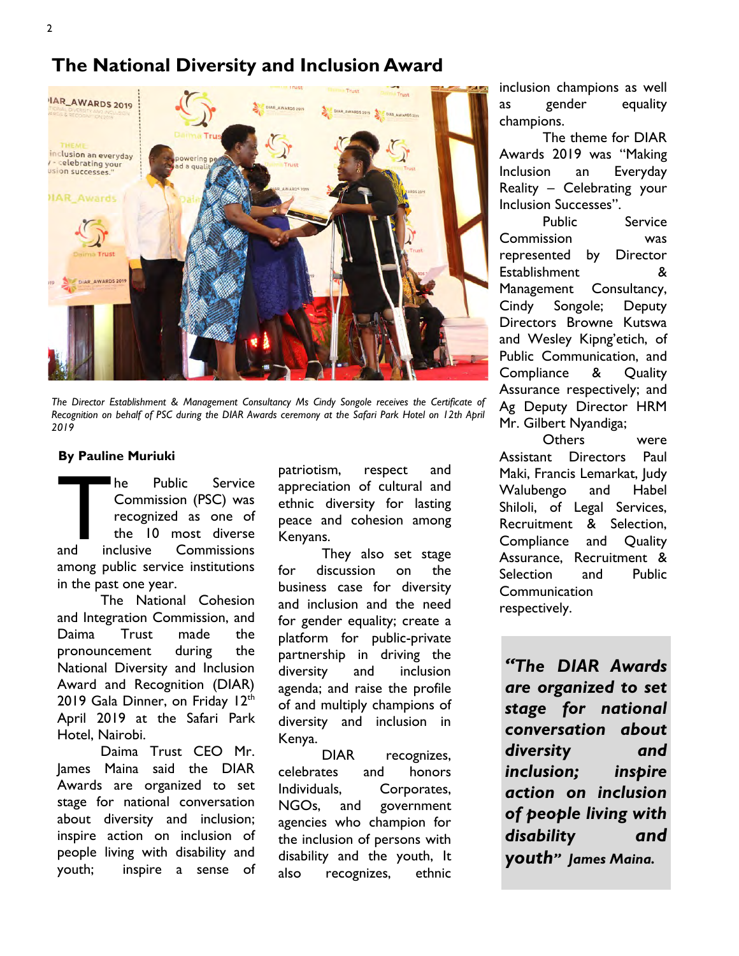## The National Diversity and Inclusion Award



The Director Establishment & Management Consultancy Ms Cindy Songole receives the Certificate of Recognition on behalf of PSC during the DIAR Awards ceremony at the Safari Park Hotel on 12th April 2019

#### By Pauline Muriuki

 $\begin{bmatrix} 1 \\ 2 \end{bmatrix}$  and  $\begin{bmatrix} 1 \\ 1 \end{bmatrix}$ he Public Service Commission (PSC) was recognized as one of the 10 most diverse and inclusive Commissions among public service institutions in the past one year.

The National Cohesion and Integration Commission, and Daima Trust made the pronouncement during the National Diversity and Inclusion Award and Recognition (DIAR) 2019 Gala Dinner, on Friday 12th April 2019 at the Safari Park Hotel, Nairobi.

Daima Trust CEO Mr. James Maina said the DIAR Awards are organized to set stage for national conversation about diversity and inclusion; inspire action on inclusion of people living with disability and youth; inspire a sense of patriotism, respect and appreciation of cultural and ethnic diversity for lasting peace and cohesion among Kenyans.

They also set stage for discussion on the business case for diversity and inclusion and the need for gender equality; create a platform for public-private partnership in driving the diversity and inclusion agenda; and raise the profile of and multiply champions of diversity and inclusion in Kenya.

DIAR recognizes, celebrates and honors Individuals, Corporates, NGOs, and government agencies who champion for the inclusion of persons with disability and the youth, It also recognizes, ethnic inclusion champions as well as gender equality champions.

The theme for DIAR Awards 2019 was "Making Inclusion an Everyday Reality – Celebrating your Inclusion Successes".

Public Service Commission was represented by Director Establishment & Management Consultancy, Cindy Songole; Deputy Directors Browne Kutswa and Wesley Kipng'etich, of Public Communication, and Compliance & Quality Assurance respectively; and Ag Deputy Director HRM Mr. Gilbert Nyandiga;

Others were Assistant Directors Paul Maki, Francis Lemarkat, Judy Walubengo and Habel Shiloli, of Legal Services, Recruitment & Selection, Compliance and Quality Assurance, Recruitment & Selection and Public **Communication** respectively.

"The DIAR Awards are organized to set stage for national conversation about diversity and inclusion; inspire action on inclusion of people living with disability and youth" James Maina.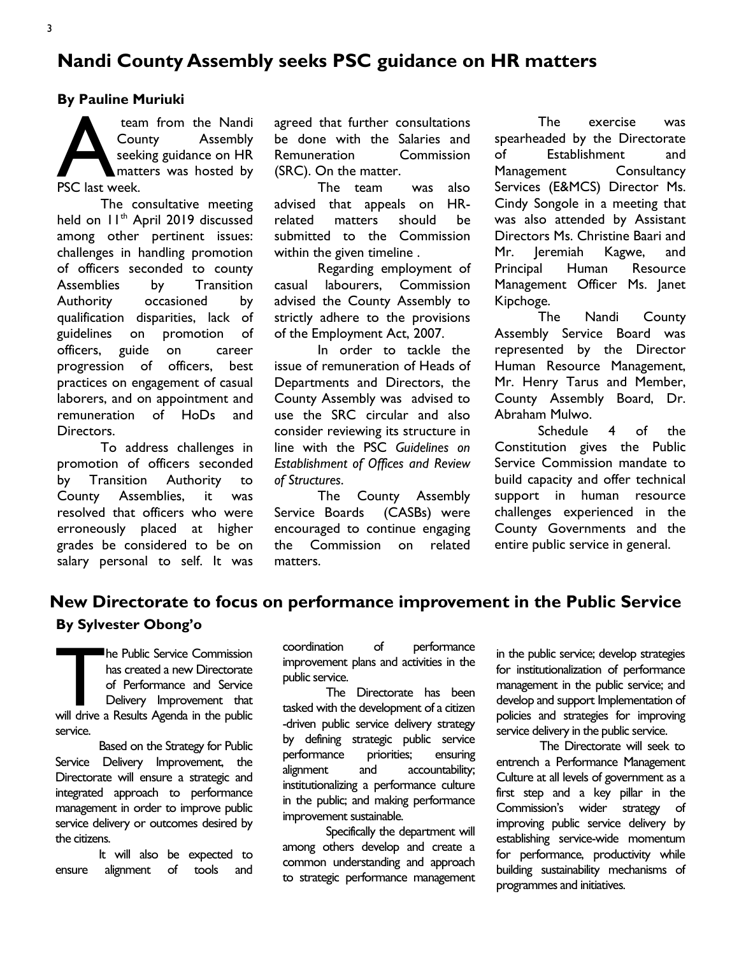## Nandi County Assembly seeks PSC guidance on HR matters

#### By Pauline Muriuki

team<br>Cour<br>PSC last week. team from the Nandi County Assembly seeking guidance on HR matters was hosted by

The consultative meeting held on 11<sup>th</sup> April 2019 discussed among other pertinent issues: challenges in handling promotion of officers seconded to county Assemblies by Transition Authority occasioned by qualification disparities, lack of guidelines on promotion of officers, guide on career progression of officers, best practices on engagement of casual laborers, and on appointment and remuneration of HoDs and Directors.

To address challenges in promotion of officers seconded by Transition Authority to County Assemblies, it was resolved that officers who were erroneously placed at higher grades be considered to be on salary personal to self. It was agreed that further consultations be done with the Salaries and Remuneration Commission (SRC). On the matter.

The team was also advised that appeals on HRrelated matters should be submitted to the Commission within the given timeline .

Regarding employment of casual labourers, Commission advised the County Assembly to strictly adhere to the provisions of the Employment Act, 2007.

In order to tackle the issue of remuneration of Heads of Departments and Directors, the County Assembly was advised to use the SRC circular and also consider reviewing its structure in line with the PSC Guidelines on Establishment of Offices and Review of Structures.

The County Assembly Service Boards (CASBs) were encouraged to continue engaging the Commission on related matters.

The exercise was spearheaded by the Directorate of Establishment and Management Consultancy Services (E&MCS) Director Ms. Cindy Songole in a meeting that was also attended by Assistant Directors Ms. Christine Baari and Mr. Jeremiah Kagwe, and Principal Human Resource Management Officer Ms. Janet Kipchoge.

The Nandi County Assembly Service Board was represented by the Director Human Resource Management, Mr. Henry Tarus and Member, County Assembly Board, Dr. Abraham Mulwo.

Schedule 4 of the Constitution gives the Public Service Commission mandate to build capacity and offer technical support in human resource challenges experienced in the County Governments and the entire public service in general.

## New Directorate to focus on performance improvement in the Public Service By Sylvester Obong'o

The Public Service Commission<br>has created a new Directorate<br>of Performance and Service<br>Delivery Improvement that<br>will drive a Results Agenda in the public he Public Service Commission has created a new Directorate of Performance and Service Delivery Improvement that service.

Based on the Strategy for Public Service Delivery Improvement, the Directorate will ensure a strategic and integrated approach to performance management in order to improve public service delivery or outcomes desired by the citizens.

It will also be expected to ensure alignment of tools and coordination of performance improvement plans and activities in the public service.

The Directorate has been tasked with the development of a citizen -driven public service delivery strategy by defining strategic public service performance priorities; ensuring alignment and accountability; institutionalizing a performance culture in the public; and making performance improvement sustainable.

Specifically the department will among others develop and create a common understanding and approach to strategic performance management in the public service; develop strategies for institutionalization of performance management in the public service; and develop and support Implementation of policies and strategies for improving service delivery in the public service.

The Directorate will seek to entrench a Performance Management Culture at all levels of government as a first step and a key pillar in the Commission's wider strategy of improving public service delivery by establishing service-wide momentum for performance, productivity while building sustainability mechanisms of programmes and initiatives.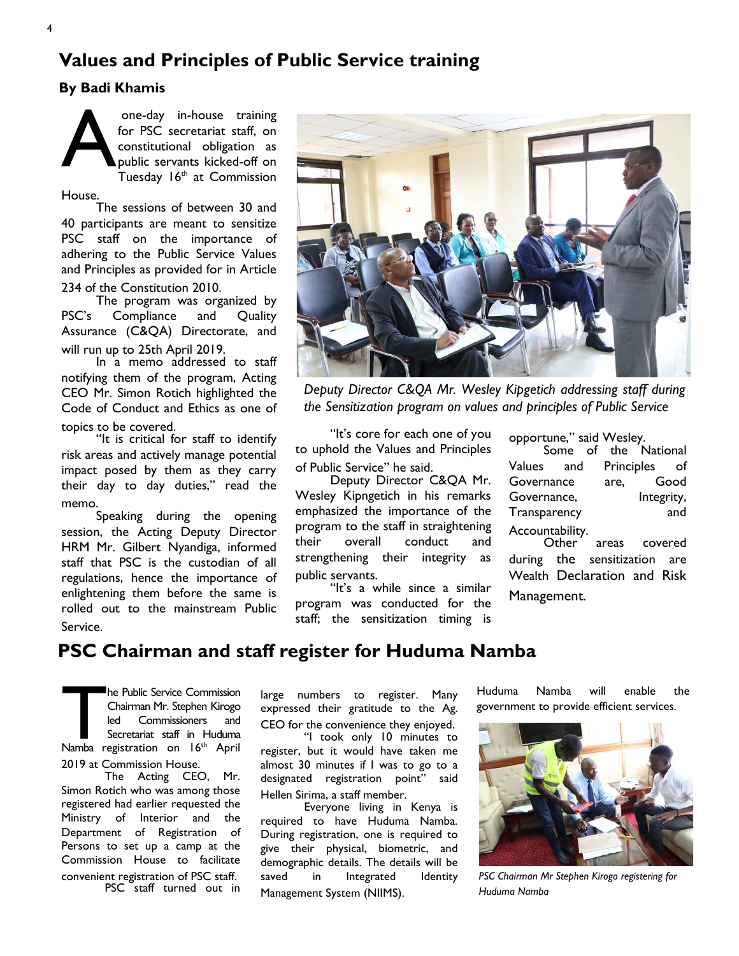## Values and Principles of Public Service training

#### By Badi Khamis



one-day in-house training for PSC secretariat staff, on constitutional obligation as public servants kicked-off on Tuesday  $16<sup>th</sup>$  at Commission

House.

The sessions of between 30 and 40 participants are meant to sensitize PSC staff on the importance of adhering to the Public Service Values and Principles as provided for in Article 234 of the Constitution 2010.

The program was organized by PSC's Compliance and Quality Assurance (C&QA) Directorate, and

will run up to 25th April 2019. In a memo addressed to staff notifying them of the program, Acting CEO Mr. Simon Rotich highlighted the Code of Conduct and Ethics as one of topics to be covered.

"It is critical for staff to identify risk areas and actively manage potential impact posed by them as they carry their day to day duties," read the memo.

Speaking during the opening session, the Acting Deputy Director HRM Mr. Gilbert Nyandiga, informed staff that PSC is the custodian of all regulations, hence the importance of enlightening them before the same is rolled out to the mainstream Public Service.



Deputy Director C&QA Mr. Wesley Kipgetich addressing staff during the Sensitization program on values and principles of Public Service

"It's core for each one of you to uphold the Values and Principles of Public Service" he said.

Deputy Director C&QA Mr. Wesley Kipngetich in his remarks emphasized the importance of the program to the staff in straightening their overall conduct and strengthening their integrity as public servants.

"It's a while since a similar program was conducted for the staff; the sensitization timing is

opportune," said Wesley.

Some of the National Values and Principles of Governance are, Good Governance, Integrity, Transparency and Accountability.<br>Other

areas covered during the sensitization are Wealth Declaration and Risk Management.

### PSC Chairman and staff register for Huduma Namba

The Public Service Commission<br>Chairman Mr. Stephen Kirogo<br>led Commissioners and<br>Secretariat staff in Huduma<br>Namba registration on 16<sup>th</sup> April he Public Service Commission Chairman Mr. Stephen Kirogo led Commissioners and Secretariat staff in Huduma 2019 at Commission House.

The Acting CEO, Mr. Simon Rotich who was among those registered had earlier requested the Ministry of Interior and the Department of Registration of Persons to set up a camp at the Commission House to facilitate convenient registration of PSC staff. PSC staff turned out in

large numbers to register. Many expressed their gratitude to the Ag. CEO for the convenience they enjoyed.

"I took only 10 minutes to register, but it would have taken me almost 30 minutes if I was to go to a designated registration point" said Hellen Sirima, a staff member.

Everyone living in Kenya is required to have Huduma Namba. During registration, one is required to give their physical, biometric, and demographic details. The details will be saved in Integrated Identity Management System (NIIMS).

Huduma Namba will enable the government to provide efficient services.



PSC Chairman Mr Stephen Kirogo registering for Huduma Namba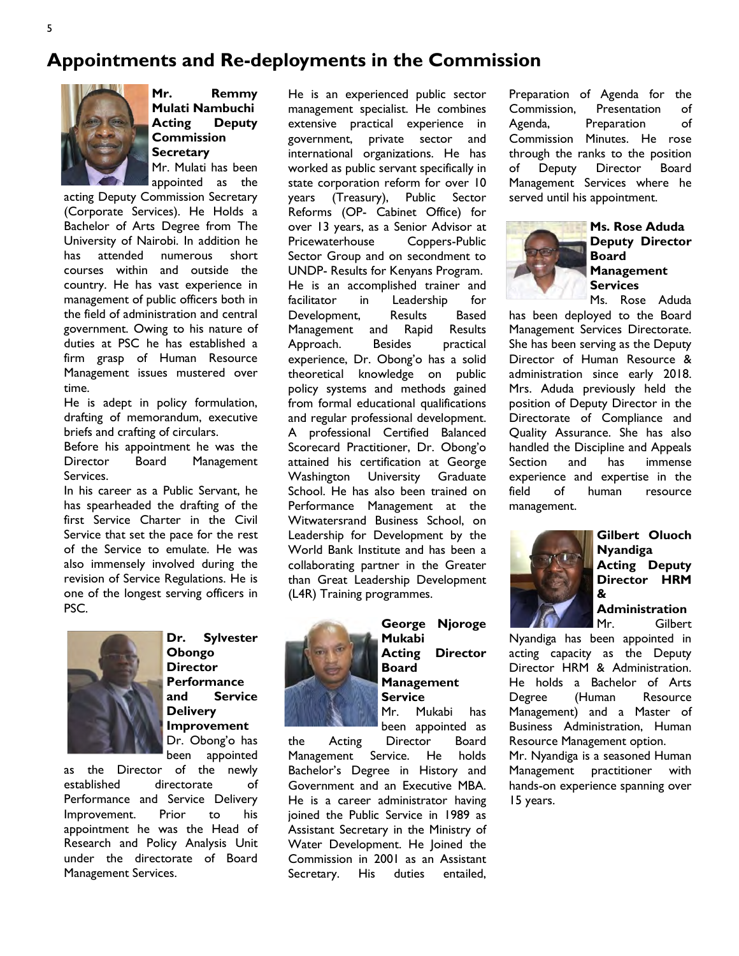## Appointments and Re-deployments in the Commission



Mr. Remmy Mulati Nambuchi Acting Deputy Commission **Secretary** Mr. Mulati has been appointed as the

acting Deputy Commission Secretary (Corporate Services). He Holds a Bachelor of Arts Degree from The University of Nairobi. In addition he has attended numerous short courses within and outside the country. He has vast experience in management of public officers both in the field of administration and central government. Owing to his nature of duties at PSC he has established a firm grasp of Human Resource Management issues mustered over time.

He is adept in policy formulation, drafting of memorandum, executive briefs and crafting of circulars.

Before his appointment he was the Director Board Management Services.

In his career as a Public Servant, he has spearheaded the drafting of the first Service Charter in the Civil Service that set the pace for the rest of the Service to emulate. He was also immensely involved during the revision of Service Regulations. He is one of the longest serving officers in PSC.



Dr. Sylvester Obongo **Director Performance** and Service **Delivery** Improvement Dr. Obong'o has been appointed

as the Director of the newly established directorate of Performance and Service Delivery Improvement. Prior to his appointment he was the Head of Research and Policy Analysis Unit under the directorate of Board Management Services.

He is an experienced public sector management specialist. He combines extensive practical experience in government, private sector and international organizations. He has worked as public servant specifically in state corporation reform for over 10 years (Treasury), Public Sector Reforms (OP- Cabinet Office) for over 13 years, as a Senior Advisor at Pricewaterhouse Coppers-Public Sector Group and on secondment to UNDP- Results for Kenyans Program. He is an accomplished trainer and facilitator in Leadership for Development, Results Based Management and Rapid Results Approach. Besides practical experience, Dr. Obong'o has a solid theoretical knowledge on public policy systems and methods gained from formal educational qualifications and regular professional development. A professional Certified Balanced Scorecard Practitioner, Dr. Obong'o attained his certification at George Washington University Graduate School. He has also been trained on Performance Management at the Witwatersrand Business School, on Leadership for Development by the World Bank Institute and has been a collaborating partner in the Greater than Great Leadership Development (L4R) Training programmes.



George Njoroge Mukabi Acting Director Board Management **Service** Mr. Mukabi has been appointed as

the Acting Director Board Management Service. He holds Bachelor's Degree in History and Government and an Executive MBA. He is a career administrator having joined the Public Service in 1989 as Assistant Secretary in the Ministry of Water Development. He Joined the Commission in 2001 as an Assistant Secretary. His duties entailed,

Preparation of Agenda for the Commission, Presentation of Agenda, Preparation of Commission Minutes. He rose through the ranks to the position of Deputy Director Board Management Services where he served until his appointment.



#### Ms. Rose Aduda Deputy Director Board **Management Services** Ms. Rose Aduda

has been deployed to the Board Management Services Directorate. She has been serving as the Deputy Director of Human Resource & administration since early 2018. Mrs. Aduda previously held the position of Deputy Director in the Directorate of Compliance and Quality Assurance. She has also handled the Discipline and Appeals Section and has immense experience and expertise in the field of human resource management.



Gilbert Oluoch Nyandiga Acting Deputy Director HRM &

# **Administration**<br>Mr. Gilbert

**Gilbert** Nyandiga has been appointed in acting capacity as the Deputy Director HRM & Administration. He holds a Bachelor of Arts Degree (Human Resource Management) and a Master of Business Administration, Human Resource Management option.

Mr. Nyandiga is a seasoned Human Management practitioner with hands-on experience spanning over 15 years.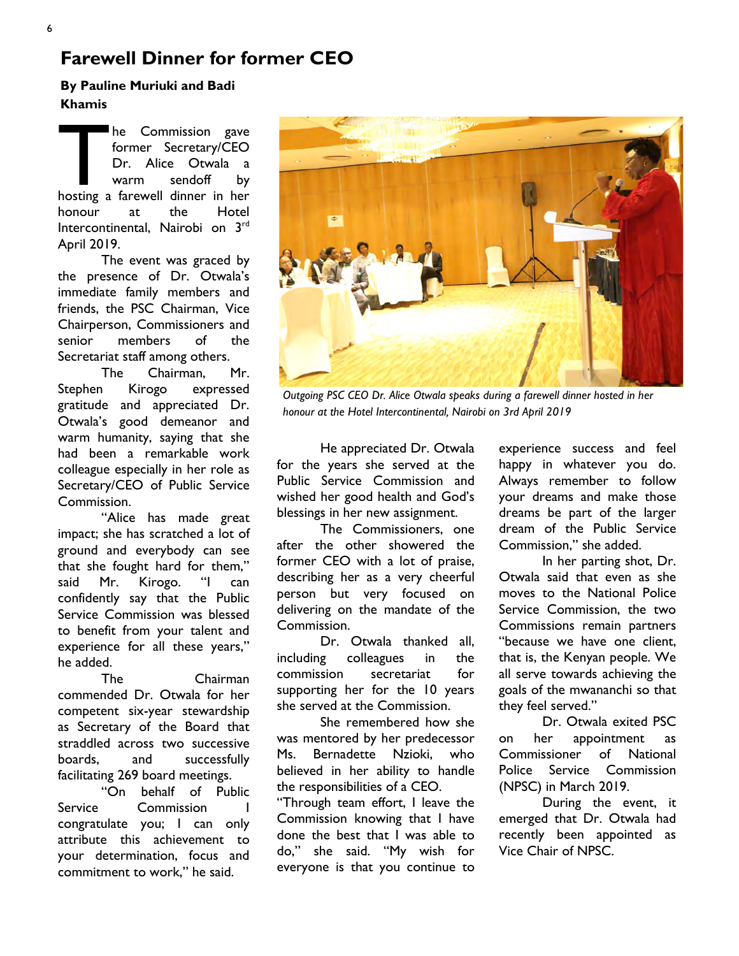## Farewell Dinner for former CEO

#### By Pauline Muriuki and Badi Khamis

The Commission gave<br>former Secretary/CEO<br>Dr. Alice Otwala a<br>warm sendoff by<br>hosting a farewell dinner in her he Commission gave former Secretary/CEO Dr. Alice Otwala a warm sendoff by honour at the Hotel Intercontinental, Nairobi on 3rd April 2019.

The event was graced by the presence of Dr. Otwala's immediate family members and friends, the PSC Chairman, Vice Chairperson, Commissioners and senior members of the Secretariat staff among others.

The Chairman, Mr. Stephen Kirogo expressed gratitude and appreciated Dr. Otwala's good demeanor and warm humanity, saying that she had been a remarkable work colleague especially in her role as Secretary/CEO of Public Service Commission.

"Alice has made great impact; she has scratched a lot of ground and everybody can see that she fought hard for them," said Mr. Kirogo. "I can confidently say that the Public Service Commission was blessed to benefit from your talent and experience for all these years," he added.

The Chairman commended Dr. Otwala for her competent six-year stewardship as Secretary of the Board that straddled across two successive boards, and successfully facilitating 269 board meetings.

"On behalf of Public Service Commission congratulate you; I can only attribute this achievement to your determination, focus and commitment to work," he said.



Outgoing PSC CEO Dr. Alice Otwala speaks during a farewell dinner hosted in her honour at the Hotel Intercontinental, Nairobi on 3rd April 2019

He appreciated Dr. Otwala for the years she served at the Public Service Commission and wished her good health and God's blessings in her new assignment.

The Commissioners, one after the other showered the former CEO with a lot of praise, describing her as a very cheerful person but very focused on delivering on the mandate of the Commission.

Dr. Otwala thanked all, including colleagues in the commission secretariat for supporting her for the 10 years she served at the Commission.

She remembered how she was mentored by her predecessor Ms. Bernadette Nzioki, who believed in her ability to handle the responsibilities of a CEO.

"Through team effort, I leave the Commission knowing that I have done the best that I was able to do," she said. "My wish for everyone is that you continue to

experience success and feel happy in whatever you do. Always remember to follow your dreams and make those dreams be part of the larger dream of the Public Service Commission," she added.

In her parting shot, Dr. Otwala said that even as she moves to the National Police Service Commission, the two Commissions remain partners "because we have one client, that is, the Kenyan people. We all serve towards achieving the goals of the mwananchi so that they feel served."

Dr. Otwala exited PSC on her appointment as Commissioner of National Police Service Commission (NPSC) in March 2019.

During the event, it emerged that Dr. Otwala had recently been appointed as Vice Chair of NPSC.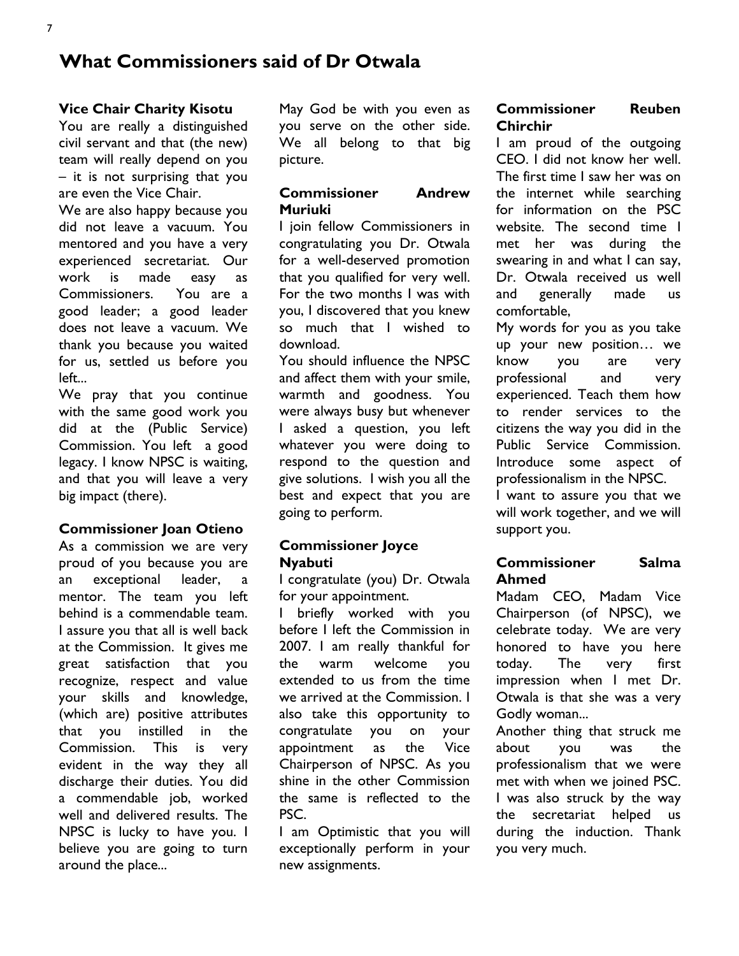## What Commissioners said of Dr Otwala

#### Vice Chair Charity Kisotu

You are really a distinguished civil servant and that (the new) team will really depend on you – it is not surprising that you are even the Vice Chair.

We are also happy because you did not leave a vacuum. You mentored and you have a very experienced secretariat. Our work is made easy as Commissioners. You are a good leader; a good leader does not leave a vacuum. We thank you because you waited for us, settled us before you left...

We pray that you continue with the same good work you did at the (Public Service) Commission. You left a good legacy. I know NPSC is waiting, and that you will leave a very big impact (there).

#### Commissioner Joan Otieno

As a commission we are very proud of you because you are an exceptional leader, a mentor. The team you left behind is a commendable team. I assure you that all is well back at the Commission. It gives me great satisfaction that you recognize, respect and value your skills and knowledge, (which are) positive attributes that you instilled in the Commission. This is very evident in the way they all discharge their duties. You did a commendable job, worked well and delivered results. The NPSC is lucky to have you. I believe you are going to turn around the place...

May God be with you even as you serve on the other side. We all belong to that big picture.

#### Commissioner Andrew Muriuki

I join fellow Commissioners in congratulating you Dr. Otwala for a well-deserved promotion that you qualified for very well. For the two months I was with you, I discovered that you knew so much that I wished to download.

You should influence the NPSC and affect them with your smile, warmth and goodness. You were always busy but whenever I asked a question, you left whatever you were doing to respond to the question and give solutions. I wish you all the best and expect that you are going to perform.

#### Commissioner Joyce Nyabuti

I congratulate (you) Dr. Otwala for your appointment.

I briefly worked with you before I left the Commission in 2007. I am really thankful for the warm welcome you extended to us from the time we arrived at the Commission. I also take this opportunity to congratulate you on your appointment as the Vice Chairperson of NPSC. As you shine in the other Commission the same is reflected to the PSC.

I am Optimistic that you will exceptionally perform in your new assignments.

#### Commissioner Reuben Chirchir

I am proud of the outgoing CEO. I did not know her well. The first time I saw her was on the internet while searching for information on the PSC website. The second time I met her was during the swearing in and what I can say, Dr. Otwala received us well and generally made us comfortable,

My words for you as you take up your new position… we know you are very professional and very experienced. Teach them how to render services to the citizens the way you did in the Public Service Commission. Introduce some aspect of professionalism in the NPSC.

I want to assure you that we will work together, and we will support you.

#### Commissioner Salma Ahmed

Madam CEO, Madam Vice Chairperson (of NPSC), we celebrate today. We are very honored to have you here today. The very first impression when I met Dr. Otwala is that she was a very Godly woman...

Another thing that struck me about you was the professionalism that we were met with when we joined PSC. I was also struck by the way the secretariat helped us during the induction. Thank you very much.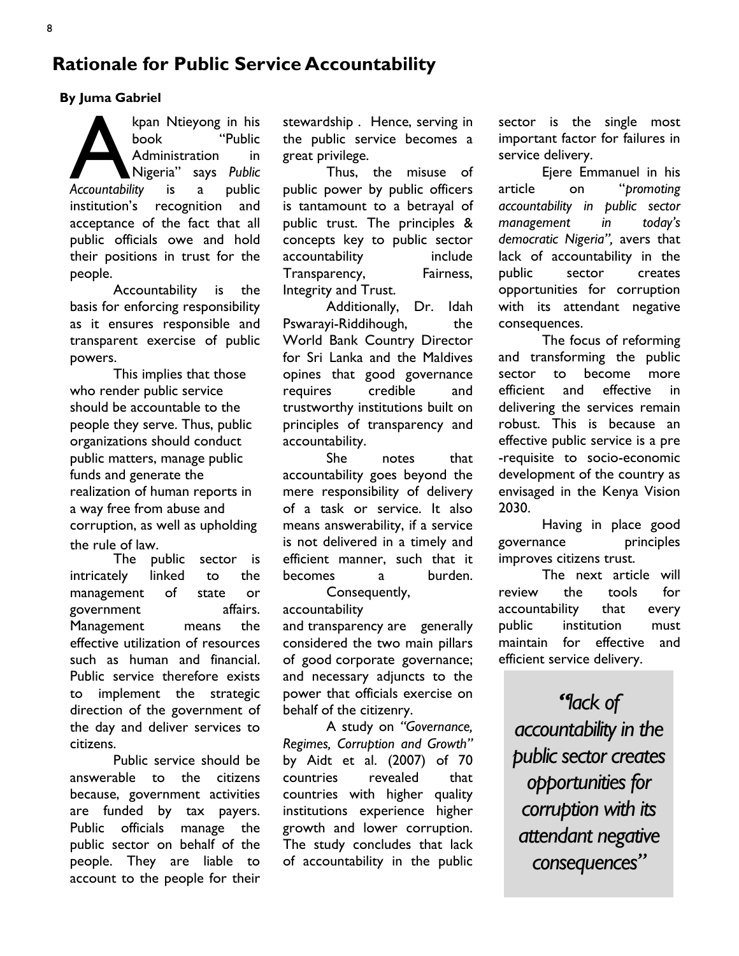## Rationale for Public Service Accountability

#### By Juma Gabriel

kpan Ntieyong in his<br>book "Public<br>Administration in<br>Accountability is a public kpan Ntieyong in his book "Public Administration in Nigeria" says Public institution's recognition and acceptance of the fact that all public officials owe and hold their positions in trust for the people.

Accountability is the basis for enforcing responsibility as it ensures responsible and transparent exercise of public powers.

This implies that those who render public service should be accountable to the people they serve. Thus, public organizations should conduct public matters, manage public funds and generate the realization of human reports in a way free from abuse and corruption, as well as upholding the rule of law.

The public sector is intricately linked to the management of state or government affairs. Management means the effective utilization of resources such as human and financial. Public service therefore exists to implement the strategic direction of the government of the day and deliver services to citizens.

Public service should be answerable to the citizens because, government activities are funded by tax payers. Public officials manage the public sector on behalf of the people. They are liable to account to the people for their

stewardship . Hence, serving in the public service becomes a great privilege.

Thus, the misuse of public power by public officers is tantamount to a betrayal of public trust. The principles & concepts key to public sector accountability include Transparency, Fairness, Integrity and Trust.

Additionally, Dr. Idah Pswarayi-Riddihough, the World Bank Country Director for Sri Lanka and the Maldives opines that good governance requires credible and trustworthy institutions built on principles of transparency and accountability.

She notes that accountability goes beyond the mere responsibility of delivery of a task or service. It also means answerability, if a service is not delivered in a timely and efficient manner, such that it becomes a burden.

Consequently, accountability

and transparency are generally considered the two main pillars of good corporate governance; and necessary adjuncts to the power that officials exercise on behalf of the citizenry.

A study on "Governance, Regimes, Corruption and Growth" by Aidt et al. (2007) of 70 countries revealed that countries with higher quality institutions experience higher growth and lower corruption. The study concludes that lack of accountability in the public

sector is the single most important factor for failures in service delivery.

Ejere Emmanuel in his article on "promoting accountability in public sector management in today's democratic Nigeria", avers that lack of accountability in the public sector creates opportunities for corruption with its attendant negative consequences.

The focus of reforming and transforming the public sector to become more efficient and effective in delivering the services remain robust. This is because an effective public service is a pre -requisite to socio-economic development of the country as envisaged in the Kenya Vision 2030.

Having in place good governance principles improves citizens trust.

The next article will review the tools for accountability that every public institution must maintain for effective and efficient service delivery.

"lack of accountability in the public sector creates opportunities for corruption with its attendant negative consequences"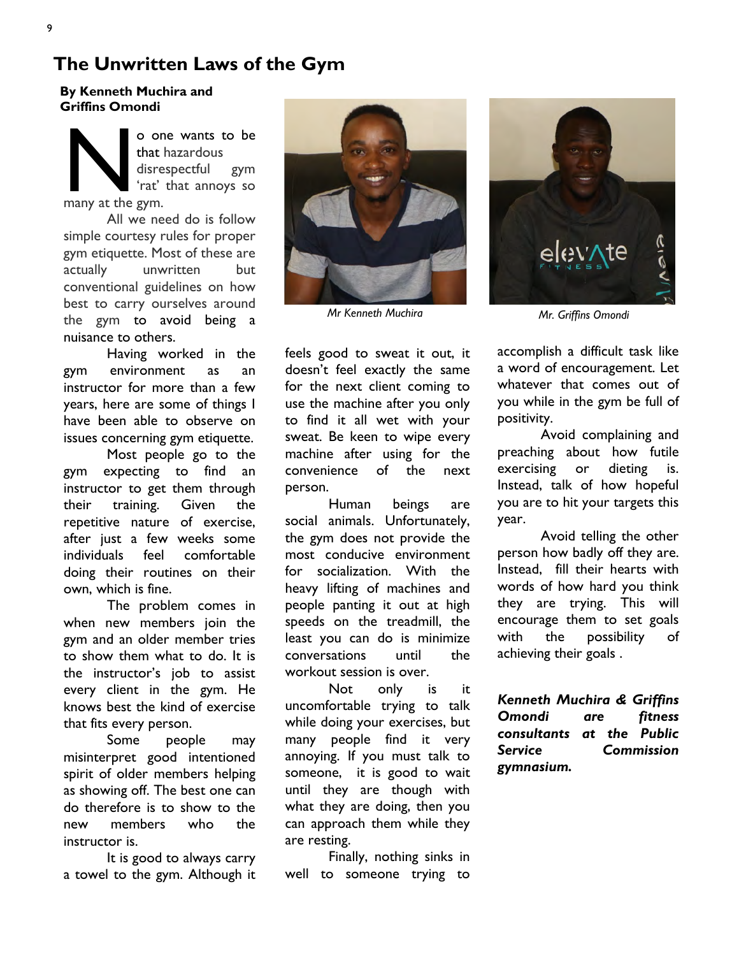## The Unwritten Laws of the Gym

#### By Kenneth Muchira and Griffins Omondi

o on<br>that he disres<br>that 'the gym. o one wants to be that hazardous disrespectful gym 'rat' that annoys so

All we need do is follow simple courtesy rules for proper gym etiquette. Most of these are actually unwritten but conventional guidelines on how best to carry ourselves around the gym to avoid being a nuisance to others.

Having worked in the gym environment as an instructor for more than a few years, here are some of things I have been able to observe on issues concerning gym etiquette.

Most people go to the gym expecting to find an instructor to get them through their training. Given the repetitive nature of exercise, after just a few weeks some individuals feel comfortable doing their routines on their own, which is fine.

The problem comes in when new members join the gym and an older member tries to show them what to do. It is the instructor's job to assist every client in the gym. He knows best the kind of exercise that fits every person.

Some people may misinterpret good intentioned spirit of older members helping as showing off. The best one can do therefore is to show to the new members who the instructor is.

It is good to always carry a towel to the gym. Although it



Mr Kenneth Muchira

feels good to sweat it out, it doesn't feel exactly the same for the next client coming to use the machine after you only to find it all wet with your sweat. Be keen to wipe every machine after using for the convenience of the next person.

Human beings are social animals. Unfortunately, the gym does not provide the most conducive environment for socialization. With the heavy lifting of machines and people panting it out at high speeds on the treadmill, the least you can do is minimize conversations until the workout session is over.

Not only is it uncomfortable trying to talk while doing your exercises, but many people find it very annoying. If you must talk to someone, it is good to wait until they are though with what they are doing, then you can approach them while they are resting.

Finally, nothing sinks in well to someone trying to



Mr. Griffins Omondi

accomplish a difficult task like a word of encouragement. Let whatever that comes out of you while in the gym be full of positivity.

Avoid complaining and preaching about how futile exercising or dieting is. Instead, talk of how hopeful you are to hit your targets this year.

Avoid telling the other person how badly off they are. Instead, fill their hearts with words of how hard you think they are trying. This will encourage them to set goals with the possibility of achieving their goals .

Kenneth Muchira & Griffins Omondi are fitness consultants at the Public Service Commission gymnasium.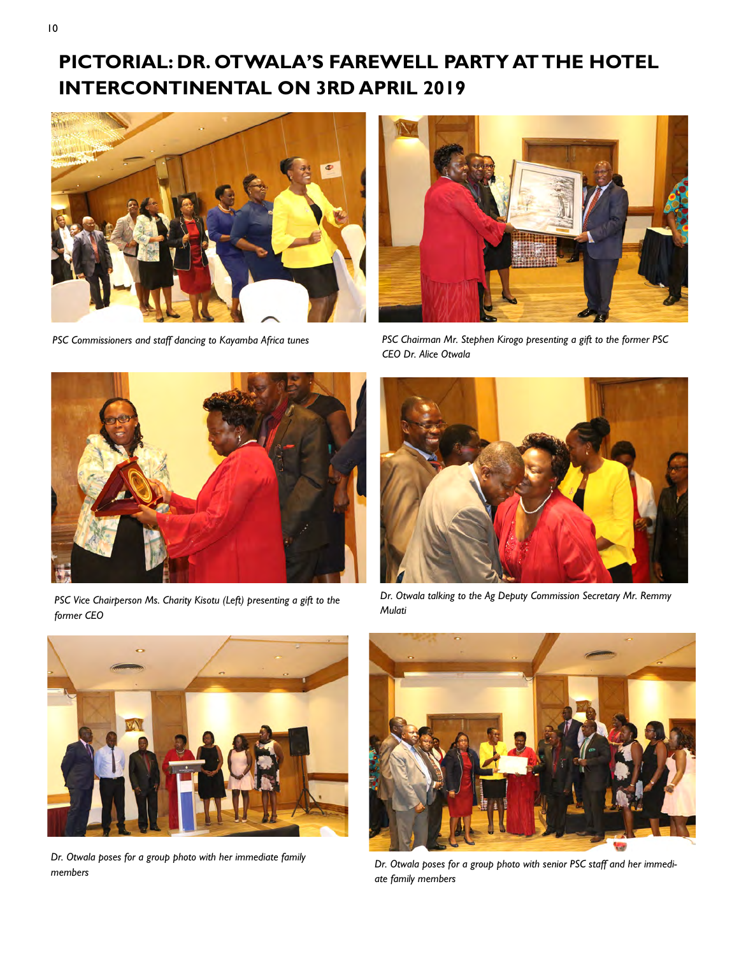## PICTORIAL: DR. OTWALA'S FAREWELL PARTY AT THE HOTEL INTERCONTINENTAL ON 3RD APRIL 2019





PSC Commissioners and staff dancing to Kayamba Africa tunes PSC Chairman Mr. Stephen Kirogo presenting a gift to the former PSC CEO Dr. Alice Otwala



PSC Vice Chairperson Ms. Charity Kisotu (Left) presenting a gift to the former CEO



Dr. Otwala talking to the Ag Deputy Commission Secretary Mr. Remmy Mulati



Dr. Otwala poses for a group photo with her immediate family members



Dr. Otwala poses for a group photo with senior PSC staff and her immediate family members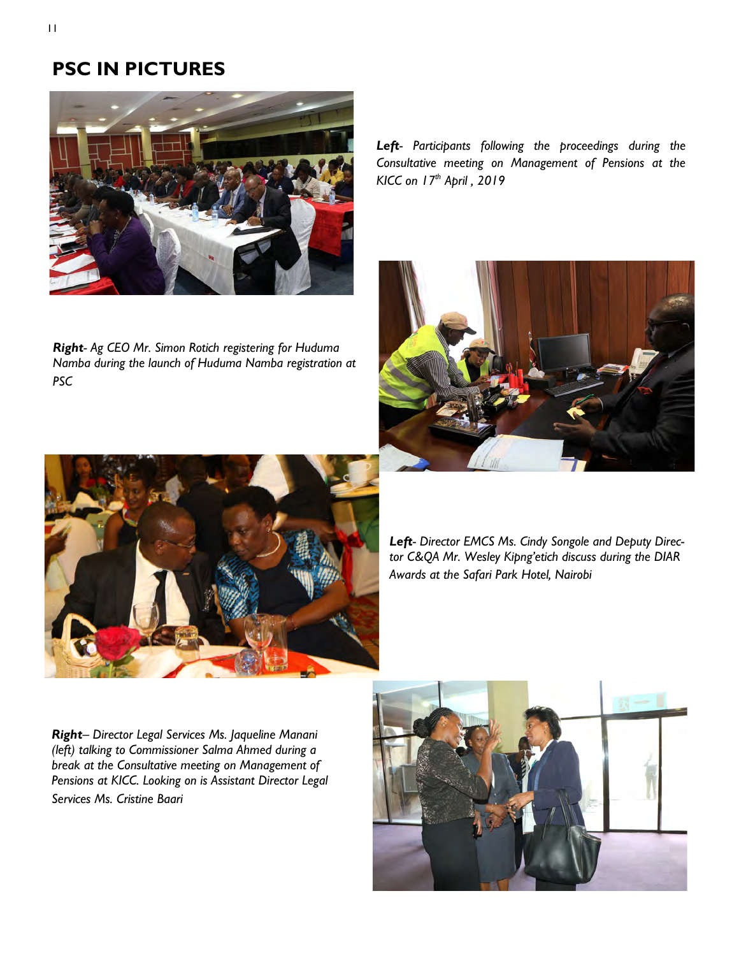## PSC IN PICTURES



Right- Ag CEO Mr. Simon Rotich registering for Huduma Namba during the launch of Huduma Namba registration at PSC

Left- Participants following the proceedings during the Consultative meeting on Management of Pensions at the KICC on 17th April, 2019





Left- Director EMCS Ms. Cindy Songole and Deputy Director C&QA Mr. Wesley Kipng'etich discuss during the DIAR Awards at the Safari Park Hotel, Nairobi

Right- Director Legal Services Ms. Jaqueline Manani (left) talking to Commissioner Salma Ahmed during a break at the Consultative meeting on Management of Pensions at KICC. Looking on is Assistant Director Legal Services Ms. Cristine Baari